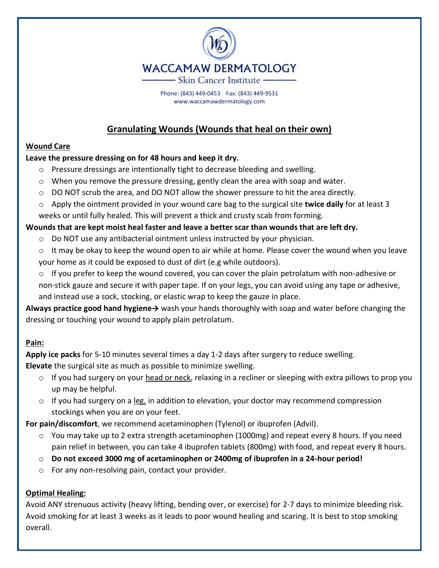

Phone: (843) 449-0453 Fax: (843) 449-9531 www.waccamawdermatology.com

# **Granulating Wounds (Wounds that heal on their own)**

### **Wound Care**

### **Leave the pressure dressing on for 48 hours and keep it dry.**

- o Pressure dressings are intentionally tight to decrease bleeding and swelling.
- $\circ$  When you remove the pressure dressing, gently clean the area with soap and water.
- $\circ$  DO NOT scrub the area, and DO NOT allow the shower pressure to hit the area directly.
- o Apply the ointment provided in your wound care bag to the surgical site **twice daily** for at least 3 weeks or until fully healed. This will prevent a thick and crusty scab from forming.

### **Wounds that are kept moist heal faster and leave a better scar than wounds that are left dry.**

- $\circ$  Do NOT use any antibacterial ointment unless instructed by your physician.
- $\circ$  It may be okay to keep the wound open to air while at home. Please cover the wound when you leave your home as it could be exposed to dust of dirt (e.g while outdoors).
- o If you prefer to keep the wound covered, you can cover the plain petrolatum with non-adhesive or non-stick gauze and secure it with paper tape. If on your legs, you can avoid using any tape or adhesive, and instead use a sock, stocking, or elastic wrap to keep the gauze in place.

**Always practice good hand hygiene**→ wash your hands thoroughly with soap and water before changing the dressing or touching your wound to apply plain petrolatum.

### **Pain:**

**Apply ice packs** for 5-10 minutes several times a day 1-2 days after surgery to reduce swelling.

**Elevate** the surgical site as much as possible to minimize swelling.

- $\circ$  If you had surgery on your head or neck, relaxing in a recliner or sleeping with extra pillows to prop you up may be helpful.
- $\circ$  If you had surgery on a leg, in addition to elevation, your doctor may recommend compression stockings when you are on your feet.

**For pain/discomfort**, we recommend acetaminophen (Tylenol) or ibuprofen (Advil).

- $\circ$  You may take up to 2 extra strength acetaminophen (1000mg) and repeat every 8 hours. If you need pain relief in between, you can take 4 ibuprofen tablets (800mg) with food, and repeat every 8 hours.
- o **Do not exceed 3000 mg of acetaminophen or 2400mg of ibuprofen in a 24-hour period!**
- o For any non-resolving pain, contact your provider.

### **Optimal Healing:**

Avoid ANY strenuous activity (heavy lifting, bending over, or exercise) for 2-7 days to minimize bleeding risk. Avoid smoking for at least 3 weeks as it leads to poor wound healing and scaring. It is best to stop smoking overall.